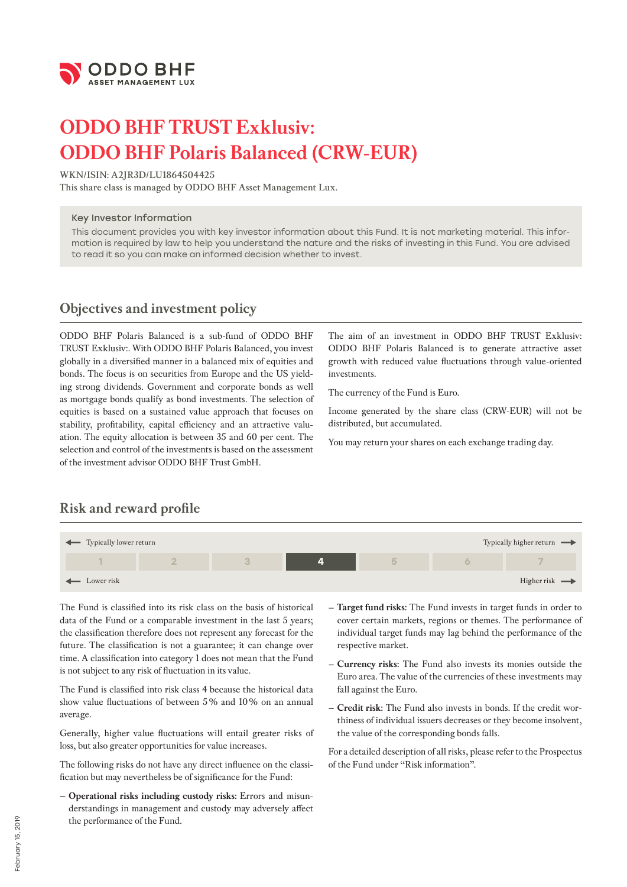

# **ODDO BHF TRUST Exklusiv: ODDO BHF Polaris Balanced (CRW-EUR)**

#### **WKN/ISIN: A2JR3D/LU1864504425**

**This share class is managed by ODDO BHF Asset Management Lux.**

#### Key Investor Information

This document provides you with key investor information about this Fund. It is not marketing material. This information is required by law to help you understand the nature and the risks of investing in this Fund. You are advised to read it so you can make an informed decision whether to invest.

### **Objectives and investment policy**

ODDO BHF Polaris Balanced is a sub-fund of ODDO BHF TRUST Exklusiv:. With ODDO BHF Polaris Balanced, you invest globally in a diversified manner in a balanced mix of equities and bonds. The focus is on securities from Europe and the US yielding strong dividends. Government and corporate bonds as well as mortgage bonds qualify as bond investments. The selection of equities is based on a sustained value approach that focuses on stability, profitability, capital efficiency and an attractive valuation. The equity allocation is between 35 and 60 per cent. The selection and control of the investments is based on the assessment of the investment advisor ODDO BHF Trust GmbH.

The aim of an investment in ODDO BHF TRUST Exklusiv: ODDO BHF Polaris Balanced is to generate attractive asset growth with reduced value fluctuations through value-oriented investments.

The currency of the Fund is Euro.

Income generated by the share class (CRW-EUR) will not be distributed, but accumulated.

You may return your shares on each exchange trading day.

# **Risk and reward profile**



The Fund is classified into its risk class on the basis of historical data of the Fund or a comparable investment in the last 5 years; the classification therefore does not represent any forecast for the future. The classification is not a guarantee; it can change over time. A classification into category 1 does not mean that the Fund is not subject to any risk of fluctuation in its value.

The Fund is classified into risk class 4 because the historical data show value fluctuations of between 5% and 10% on an annual average.

Generally, higher value fluctuations will entail greater risks of loss, but also greater opportunities for value increases.

The following risks do not have any direct influence on the classification but may nevertheless be of significance for the Fund:

**– Operational risks including custody risks:** Errors and misunderstandings in management and custody may adversely affect the performance of the Fund.

- **– Target fund risks:** The Fund invests in target funds in order to cover certain markets, regions or themes. The performance of individual target funds may lag behind the performance of the respective market.
- **– Currency risks:** The Fund also invests its monies outside the Euro area. The value of the currencies of these investments may fall against the Euro.
- **– Credit risk:** The Fund also invests in bonds. If the credit worthiness of individual issuers decreases or they become insolvent, the value of the corresponding bonds falls.

For a detailed description of all risks, please refer to the Prospectus of the Fund under "Risk information".